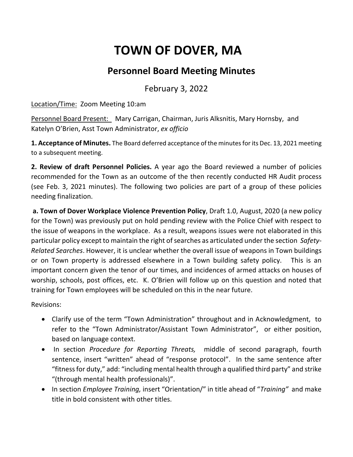## **TOWN OF DOVER, MA**

## **Personnel Board Meeting Minutes**

February 3, 2022

Location/Time: Zoom Meeting 10:am

Personnel Board Present: Mary Carrigan, Chairman, Juris Alksnitis, Mary Hornsby, and Katelyn O'Brien, Asst Town Administrator, *ex officio*

**1. Acceptance of Minutes.** The Board deferred acceptance of the minutes for its Dec. 13, 2021 meeting to a subsequent meeting.

**2. Review of draft Personnel Policies.** A year ago the Board reviewed a number of policies recommended for the Town as an outcome of the then recently conducted HR Audit process (see Feb. 3, 2021 minutes). The following two policies are part of a group of these policies needing finalization.

**a. Town of Dover Workplace Violence Prevention Policy**, Draft 1.0, August, 2020 (a new policy for the Town) was previously put on hold pending review with the Police Chief with respect to the issue of weapons in the workplace. As a result, weapons issues were not elaborated in this particular policy except to maintain the right of searches as articulated under the section *Safety-Related Searches*. However, it is unclear whether the overall issue of weapons in Town buildings or on Town property is addressed elsewhere in a Town building safety policy. This is an important concern given the tenor of our times, and incidences of armed attacks on houses of worship, schools, post offices, etc. K. O'Brien will follow up on this question and noted that training for Town employees will be scheduled on this in the near future.

Revisions:

- Clarify use of the term "Town Administration" throughout and in Acknowledgment, to refer to the "Town Administrator/Assistant Town Administrator", or either position, based on language context.
- In section *Procedure for Reporting Threats,* middle of second paragraph, fourth sentence, insert "written" ahead of "response protocol". In the same sentence after "fitness for duty," add: "including mental health through a qualified third party" and strike "(through mental health professionals)".
- In section *Employee Training,* insert "Orientation/" in title ahead of "*Training"* and make title in bold consistent with other titles.